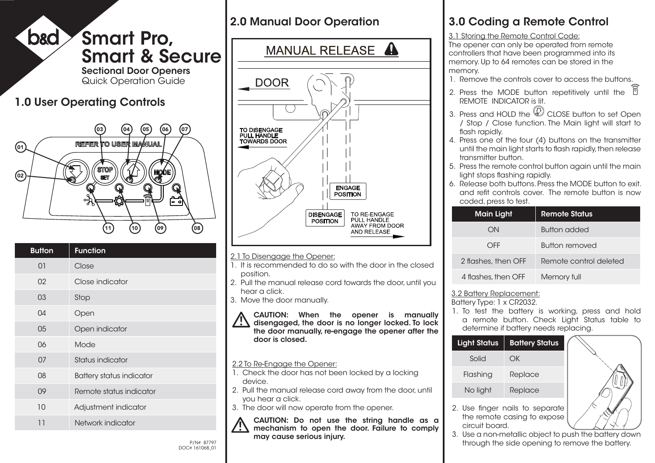

## 2.0 Manual Door Operation



### 2.1 To Disengage the Opener:

- 1. It is recommended to do so with the door in the closed position.
- 2. Pull the manual release cord towards the door, until you hear a click.
- 3. Move the door manually.
- CAUTION: When the opener is manually  $\sqrt{!}$  disengaged, the door is no longer locked. To lock the door manually, re-engage the opener after the door is closed.

### 2.2 To Re-Engage the Opener:

- 1. Check the door has not been locked by a locking device.
- 2. Pull the manual release cord away from the door, until you hear a click.
- 3. The door will now operate from the opener.

CAUTION: Do not use the string handle as a mechanism to open the door. Failure to comply may cause serious injury.

# 3.0 Coding a Remote Control

3.1 Storing the Remote Control Code:

The opener can only be operated from remote controllers that have been programmed into its memory. Up to 64 remotes can be stored in the memory.

- 1. Remove the controls cover to access the buttons.
- 2. Press the MODE button repetitively until the  $\widehat{\mathbb{C}}$ REMOTE INDICATOR is lit.
- 3. Press and HOLD the  $\mathbb Q$  CLOSE button to set Open / Stop / Close function. The Main light will start to flash rapidly.
- 4. Press one of the four (4) buttons on the transmitter until the main light starts to flash rapidly, then release transmitter button.
- 5. Press the remote control button again until the main light stops flashing rapidly.
- 6. Release both buttons. Press the MODE button to exit. and refit controls cover. The remote button is now coded, press to test.

| Main Light          | <b>Remote Status</b>   |
|---------------------|------------------------|
| nП                  | <b>Button added</b>    |
| OFF                 | Button removed         |
| 2 flashes, then OFF | Remote control deleted |
| 4 flashes, then OFF | Memory full            |

### 3.2 Battery Replacement:

Battery Type: 1 x CR2032.

1. To test the battery is working, press and hold a remote button. Check Light Status table to determine if battery needs replacing.

| <b>Light Status</b>                                            | <b>Battery Status</b> |  |
|----------------------------------------------------------------|-----------------------|--|
| Solid                                                          | OК                    |  |
| Flashing                                                       | Replace               |  |
| No light                                                       | Replace               |  |
| 2. Use finger nails to separate<br>the remote casina to expose |                       |  |

circuit board.



3. Use a non-metallic object to push the battery down P/N# 87797